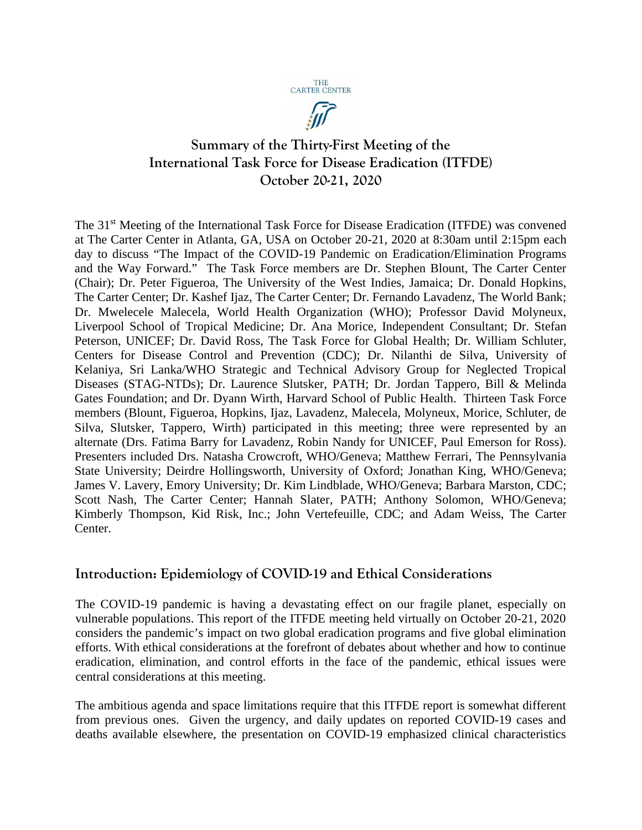

痂

# **Summary of the Thirty-First Meeting of the International Task Force for Disease Eradication (ITFDE) October 20-21, 2020**

The 31<sup>st</sup> Meeting of the International Task Force for Disease Eradication (ITFDE) was convened at The Carter Center in Atlanta, GA, USA on October 20-21, 2020 at 8:30am until 2:15pm each day to discuss "The Impact of the COVID-19 Pandemic on Eradication/Elimination Programs and the Way Forward." The Task Force members are Dr. Stephen Blount, The Carter Center (Chair); Dr. Peter Figueroa, The University of the West Indies, Jamaica; Dr. Donald Hopkins, The Carter Center; Dr. Kashef Ijaz, The Carter Center; Dr. Fernando Lavadenz, The World Bank; Dr. Mwelecele Malecela, World Health Organization (WHO); Professor David Molyneux, Liverpool School of Tropical Medicine; Dr. Ana Morice, Independent Consultant; Dr. Stefan Peterson, UNICEF; Dr. David Ross, The Task Force for Global Health; Dr. William Schluter, Centers for Disease Control and Prevention (CDC); Dr. Nilanthi de Silva, University of Kelaniya, Sri Lanka/WHO Strategic and Technical Advisory Group for Neglected Tropical Diseases (STAG-NTDs); Dr. Laurence Slutsker, PATH; Dr. Jordan Tappero, Bill & Melinda Gates Foundation; and Dr. Dyann Wirth, Harvard School of Public Health. Thirteen Task Force members (Blount, Figueroa, Hopkins, Ijaz, Lavadenz, Malecela, Molyneux, Morice, Schluter, de Silva, Slutsker, Tappero, Wirth) participated in this meeting; three were represented by an alternate (Drs. Fatima Barry for Lavadenz, Robin Nandy for UNICEF, Paul Emerson for Ross). Presenters included Drs. Natasha Crowcroft, WHO/Geneva; Matthew Ferrari, The Pennsylvania State University; Deirdre Hollingsworth, University of Oxford; Jonathan King, WHO/Geneva; James V. Lavery, Emory University; Dr. Kim Lindblade, WHO/Geneva; Barbara Marston, CDC; Scott Nash, The Carter Center; Hannah Slater, PATH; Anthony Solomon, WHO/Geneva; Kimberly Thompson, Kid Risk, Inc.; John Vertefeuille, CDC; and Adam Weiss, The Carter Center.

# **Introduction: Epidemiology of COVID-19 and Ethical Considerations**

The COVID-19 pandemic is having a devastating effect on our fragile planet, especially on vulnerable populations. This report of the ITFDE meeting held virtually on October 20-21, 2020 considers the pandemic's impact on two global eradication programs and five global elimination efforts. With ethical considerations at the forefront of debates about whether and how to continue eradication, elimination, and control efforts in the face of the pandemic, ethical issues were central considerations at this meeting.

The ambitious agenda and space limitations require that this ITFDE report is somewhat different from previous ones. Given the urgency, and daily updates on reported COVID-19 cases and deaths available elsewhere, the presentation on COVID-19 emphasized clinical characteristics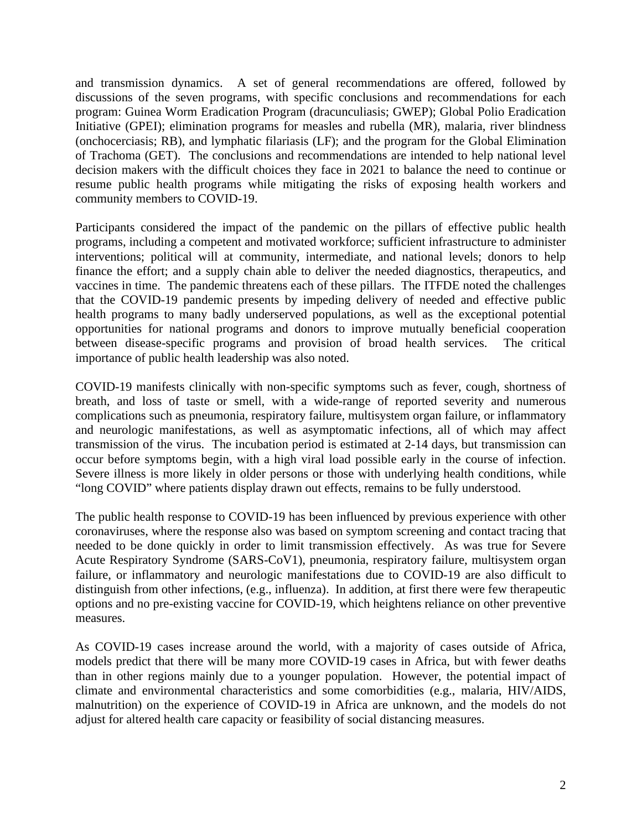and transmission dynamics. A set of general recommendations are offered, followed by discussions of the seven programs, with specific conclusions and recommendations for each program: Guinea Worm Eradication Program (dracunculiasis; GWEP); Global Polio Eradication Initiative (GPEI); elimination programs for measles and rubella (MR), malaria, river blindness (onchocerciasis; RB), and lymphatic filariasis (LF); and the program for the Global Elimination of Trachoma (GET). The conclusions and recommendations are intended to help national level decision makers with the difficult choices they face in 2021 to balance the need to continue or resume public health programs while mitigating the risks of exposing health workers and community members to COVID-19.

Participants considered the impact of the pandemic on the pillars of effective public health programs, including a competent and motivated workforce; sufficient infrastructure to administer interventions; political will at community, intermediate, and national levels; donors to help finance the effort; and a supply chain able to deliver the needed diagnostics, therapeutics, and vaccines in time. The pandemic threatens each of these pillars. The ITFDE noted the challenges that the COVID-19 pandemic presents by impeding delivery of needed and effective public health programs to many badly underserved populations, as well as the exceptional potential opportunities for national programs and donors to improve mutually beneficial cooperation between disease-specific programs and provision of broad health services. The critical importance of public health leadership was also noted.

COVID-19 manifests clinically with non-specific symptoms such as fever, cough, shortness of breath, and loss of taste or smell, with a wide-range of reported severity and numerous complications such as pneumonia, respiratory failure, multisystem organ failure, or inflammatory and neurologic manifestations, as well as asymptomatic infections, all of which may affect transmission of the virus. The incubation period is estimated at 2-14 days, but transmission can occur before symptoms begin, with a high viral load possible early in the course of infection. Severe illness is more likely in older persons or those with underlying health conditions, while "long COVID" where patients display drawn out effects, remains to be fully understood.

The public health response to COVID-19 has been influenced by previous experience with other coronaviruses, where the response also was based on symptom screening and contact tracing that needed to be done quickly in order to limit transmission effectively. As was true for Severe Acute Respiratory Syndrome (SARS-CoV1), pneumonia, respiratory failure, multisystem organ failure, or inflammatory and neurologic manifestations due to COVID-19 are also difficult to distinguish from other infections, (e.g., influenza). In addition, at first there were few therapeutic options and no pre-existing vaccine for COVID-19, which heightens reliance on other preventive measures.

As COVID-19 cases increase around the world, with a majority of cases outside of Africa, models predict that there will be many more COVID-19 cases in Africa, but with fewer deaths than in other regions mainly due to a younger population. However, the potential impact of climate and environmental characteristics and some comorbidities (e.g., malaria, HIV/AIDS, malnutrition) on the experience of COVID-19 in Africa are unknown, and the models do not adjust for altered health care capacity or feasibility of social distancing measures.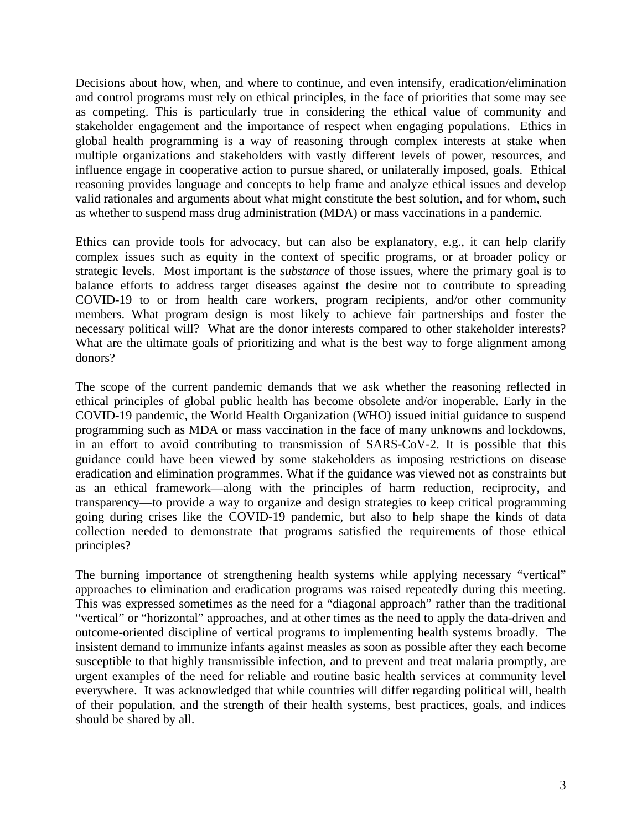Decisions about how, when, and where to continue, and even intensify, eradication/elimination and control programs must rely on ethical principles, in the face of priorities that some may see as competing. This is particularly true in considering the ethical value of community and stakeholder engagement and the importance of respect when engaging populations. Ethics in global health programming is a way of reasoning through complex interests at stake when multiple organizations and stakeholders with vastly different levels of power, resources, and influence engage in cooperative action to pursue shared, or unilaterally imposed, goals. Ethical reasoning provides language and concepts to help frame and analyze ethical issues and develop valid rationales and arguments about what might constitute the best solution, and for whom, such as whether to suspend mass drug administration (MDA) or mass vaccinations in a pandemic.

Ethics can provide tools for advocacy, but can also be explanatory, e.g., it can help clarify complex issues such as equity in the context of specific programs, or at broader policy or strategic levels. Most important is the *substance* of those issues, where the primary goal is to balance efforts to address target diseases against the desire not to contribute to spreading COVID-19 to or from health care workers, program recipients, and/or other community members. What program design is most likely to achieve fair partnerships and foster the necessary political will? What are the donor interests compared to other stakeholder interests? What are the ultimate goals of prioritizing and what is the best way to forge alignment among donors?

The scope of the current pandemic demands that we ask whether the reasoning reflected in ethical principles of global public health has become obsolete and/or inoperable. Early in the COVID-19 pandemic, the World Health Organization (WHO) issued initial guidance to suspend programming such as MDA or mass vaccination in the face of many unknowns and lockdowns, in an effort to avoid contributing to transmission of SARS-CoV-2. It is possible that this guidance could have been viewed by some stakeholders as imposing restrictions on disease eradication and elimination programmes. What if the guidance was viewed not as constraints but as an ethical framework—along with the principles of harm reduction, reciprocity, and transparency—to provide a way to organize and design strategies to keep critical programming going during crises like the COVID-19 pandemic, but also to help shape the kinds of data collection needed to demonstrate that programs satisfied the requirements of those ethical principles?

The burning importance of strengthening health systems while applying necessary "vertical" approaches to elimination and eradication programs was raised repeatedly during this meeting. This was expressed sometimes as the need for a "diagonal approach" rather than the traditional "vertical" or "horizontal" approaches, and at other times as the need to apply the data-driven and outcome-oriented discipline of vertical programs to implementing health systems broadly. The insistent demand to immunize infants against measles as soon as possible after they each become susceptible to that highly transmissible infection, and to prevent and treat malaria promptly, are urgent examples of the need for reliable and routine basic health services at community level everywhere. It was acknowledged that while countries will differ regarding political will, health of their population, and the strength of their health systems, best practices, goals, and indices should be shared by all.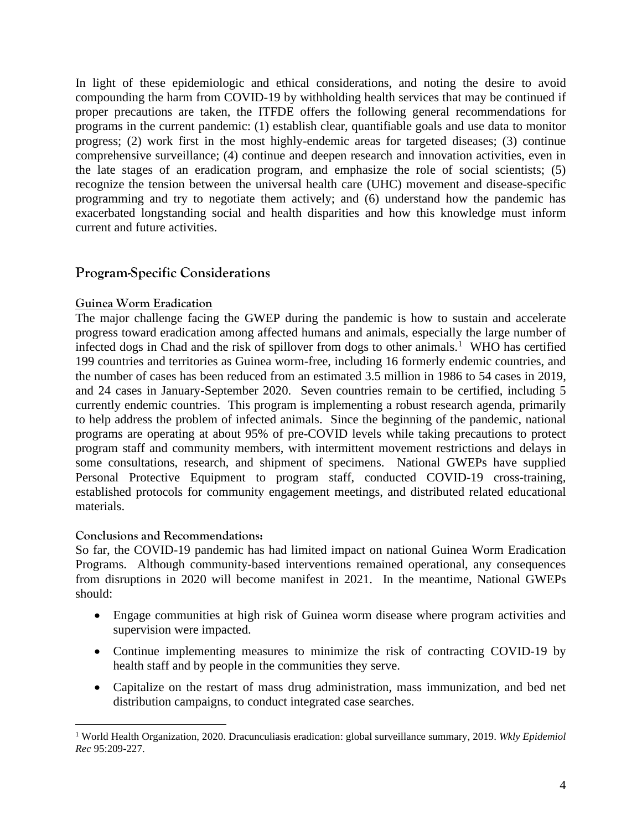In light of these epidemiologic and ethical considerations, and noting the desire to avoid compounding the harm from COVID-19 by withholding health services that may be continued if proper precautions are taken, the ITFDE offers the following general recommendations for programs in the current pandemic: (1) establish clear, quantifiable goals and use data to monitor progress; (2) work first in the most highly-endemic areas for targeted diseases; (3) continue comprehensive surveillance; (4) continue and deepen research and innovation activities, even in the late stages of an eradication program, and emphasize the role of social scientists; (5) recognize the tension between the universal health care (UHC) movement and disease-specific programming and try to negotiate them actively; and (6) understand how the pandemic has exacerbated longstanding social and health disparities and how this knowledge must inform current and future activities.

# **Program-Specific Considerations**

#### **Guinea Worm Eradication**

The major challenge facing the GWEP during the pandemic is how to sustain and accelerate progress toward eradication among affected humans and animals, especially the large number of infected dogs in Chad and the risk of spillover from dogs to other animals. [1](#page-3-0) WHO has certified 199 countries and territories as Guinea worm-free, including 16 formerly endemic countries, and the number of cases has been reduced from an estimated 3.5 million in 1986 to 54 cases in 2019, and 24 cases in January-September 2020. Seven countries remain to be certified, including 5 currently endemic countries. This program is implementing a robust research agenda, primarily to help address the problem of infected animals. Since the beginning of the pandemic, national programs are operating at about 95% of pre-COVID levels while taking precautions to protect program staff and community members, with intermittent movement restrictions and delays in some consultations, research, and shipment of specimens. National GWEPs have supplied Personal Protective Equipment to program staff, conducted COVID-19 cross-training, established protocols for community engagement meetings, and distributed related educational materials.

#### **Conclusions and Recommendations:**

So far, the COVID-19 pandemic has had limited impact on national Guinea Worm Eradication Programs. Although community-based interventions remained operational, any consequences from disruptions in 2020 will become manifest in 2021. In the meantime, National GWEPs should:

- Engage communities at high risk of Guinea worm disease where program activities and supervision were impacted.
- Continue implementing measures to minimize the risk of contracting COVID-19 by health staff and by people in the communities they serve.
- Capitalize on the restart of mass drug administration, mass immunization, and bed net distribution campaigns, to conduct integrated case searches.

<span id="page-3-0"></span><sup>1</sup> World Health Organization, 2020. Dracunculiasis eradication: global surveillance summary, 2019. *Wkly Epidemiol Rec* 95:209-227.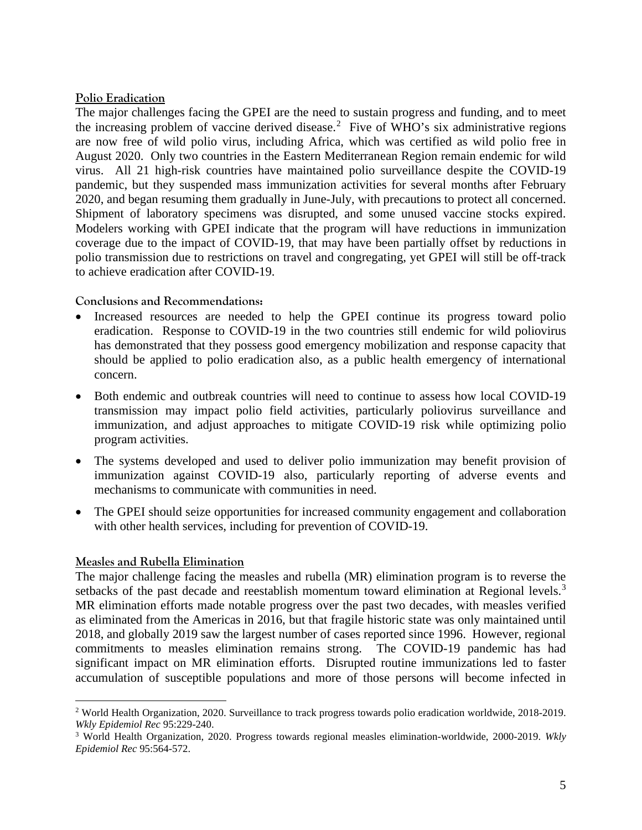## **Polio Eradication**

The major challenges facing the GPEI are the need to sustain progress and funding, and to meet the increasing problem of vaccine derived disease. [2](#page-4-0) Five of WHO's six administrative regions are now free of wild polio virus, including Africa, which was certified as wild polio free in August 2020. Only two countries in the Eastern Mediterranean Region remain endemic for wild virus. All 21 high-risk countries have maintained polio surveillance despite the COVID-19 pandemic, but they suspended mass immunization activities for several months after February 2020, and began resuming them gradually in June-July, with precautions to protect all concerned. Shipment of laboratory specimens was disrupted, and some unused vaccine stocks expired. Modelers working with GPEI indicate that the program will have reductions in immunization coverage due to the impact of COVID-19, that may have been partially offset by reductions in polio transmission due to restrictions on travel and congregating, yet GPEI will still be off-track to achieve eradication after COVID-19.

## **Conclusions and Recommendations:**

- Increased resources are needed to help the GPEI continue its progress toward polio eradication. Response to COVID-19 in the two countries still endemic for wild poliovirus has demonstrated that they possess good emergency mobilization and response capacity that should be applied to polio eradication also, as a public health emergency of international concern.
- Both endemic and outbreak countries will need to continue to assess how local COVID-19 transmission may impact polio field activities, particularly poliovirus surveillance and immunization, and adjust approaches to mitigate COVID-19 risk while optimizing polio program activities.
- The systems developed and used to deliver polio immunization may benefit provision of immunization against COVID-19 also, particularly reporting of adverse events and mechanisms to communicate with communities in need.
- The GPEI should seize opportunities for increased community engagement and collaboration with other health services, including for prevention of COVID-19.

# **Measles and Rubella Elimination**

The major challenge facing the measles and rubella (MR) elimination program is to reverse the setbacks of the past decade and reestablish momentum toward elimination at Regional levels.<sup>[3](#page-4-1)</sup> MR elimination efforts made notable progress over the past two decades, with measles verified as eliminated from the Americas in 2016, but that fragile historic state was only maintained until 2018, and globally 2019 saw the largest number of cases reported since 1996. However, regional commitments to measles elimination remains strong. The COVID-19 pandemic has had significant impact on MR elimination efforts. Disrupted routine immunizations led to faster accumulation of susceptible populations and more of those persons will become infected in

<span id="page-4-0"></span><sup>2</sup> World Health Organization, 2020. Surveillance to track progress towards polio eradication worldwide, 2018-2019. *Wkly Epidemiol Rec* 95:229-240.

<span id="page-4-1"></span><sup>3</sup> World Health Organization, 2020. Progress towards regional measles elimination-worldwide, 2000-2019. *Wkly Epidemiol Rec* 95:564-572.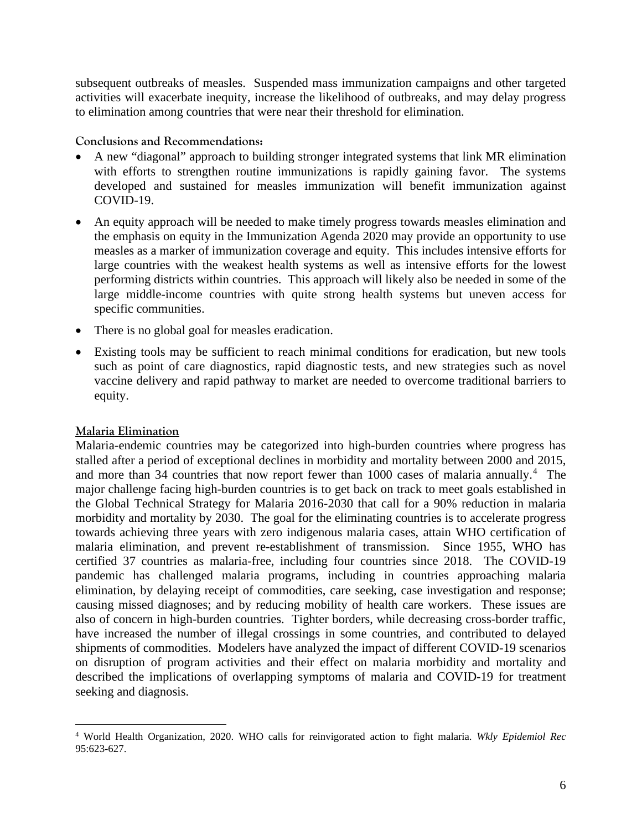subsequent outbreaks of measles. Suspended mass immunization campaigns and other targeted activities will exacerbate inequity, increase the likelihood of outbreaks, and may delay progress to elimination among countries that were near their threshold for elimination.

## **Conclusions and Recommendations:**

- A new "diagonal" approach to building stronger integrated systems that link MR elimination with efforts to strengthen routine immunizations is rapidly gaining favor. The systems developed and sustained for measles immunization will benefit immunization against COVID-19.
- An equity approach will be needed to make timely progress towards measles elimination and the emphasis on equity in the Immunization Agenda 2020 may provide an opportunity to use measles as a marker of immunization coverage and equity. This includes intensive efforts for large countries with the weakest health systems as well as intensive efforts for the lowest performing districts within countries. This approach will likely also be needed in some of the large middle-income countries with quite strong health systems but uneven access for specific communities.
- There is no global goal for measles eradication.
- Existing tools may be sufficient to reach minimal conditions for eradication, but new tools such as point of care diagnostics, rapid diagnostic tests, and new strategies such as novel vaccine delivery and rapid pathway to market are needed to overcome traditional barriers to equity.

#### **Malaria Elimination**

Malaria-endemic countries may be categorized into high-burden countries where progress has stalled after a period of exceptional declines in morbidity and mortality between 2000 and 2015, and more than 34 countries that now report fewer than 1000 cases of malaria annually. [4](#page-5-0) The major challenge facing high-burden countries is to get back on track to meet goals established in the Global Technical Strategy for Malaria 2016-2030 that call for a 90% reduction in malaria morbidity and mortality by 2030. The goal for the eliminating countries is to accelerate progress towards achieving three years with zero indigenous malaria cases, attain WHO certification of malaria elimination, and prevent re-establishment of transmission. Since 1955, WHO has certified 37 countries as malaria-free, including four countries since 2018. The COVID-19 pandemic has challenged malaria programs, including in countries approaching malaria elimination, by delaying receipt of commodities, care seeking, case investigation and response; causing missed diagnoses; and by reducing mobility of health care workers. These issues are also of concern in high-burden countries. Tighter borders, while decreasing cross-border traffic, have increased the number of illegal crossings in some countries, and contributed to delayed shipments of commodities. Modelers have analyzed the impact of different COVID-19 scenarios on disruption of program activities and their effect on malaria morbidity and mortality and described the implications of overlapping symptoms of malaria and COVID-19 for treatment seeking and diagnosis.

<span id="page-5-0"></span><sup>4</sup> World Health Organization, 2020. WHO calls for reinvigorated action to fight malaria. *Wkly Epidemiol Rec* 95:623-627.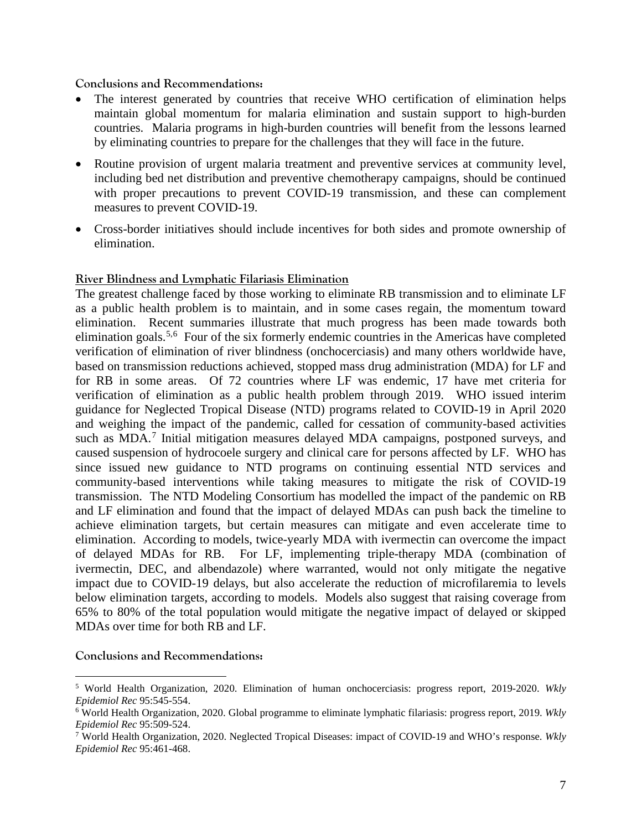#### **Conclusions and Recommendations:**

- The interest generated by countries that receive WHO certification of elimination helps maintain global momentum for malaria elimination and sustain support to high-burden countries. Malaria programs in high-burden countries will benefit from the lessons learned by eliminating countries to prepare for the challenges that they will face in the future.
- Routine provision of urgent malaria treatment and preventive services at community level, including bed net distribution and preventive chemotherapy campaigns, should be continued with proper precautions to prevent COVID-19 transmission, and these can complement measures to prevent COVID-19.
- Cross-border initiatives should include incentives for both sides and promote ownership of elimination.

# **River Blindness and Lymphatic Filariasis Elimination**

The greatest challenge faced by those working to eliminate RB transmission and to eliminate LF as a public health problem is to maintain, and in some cases regain, the momentum toward elimination. Recent summaries illustrate that much progress has been made towards both elimination goals.<sup>[5,](#page-6-0)[6](#page-6-1)</sup> Four of the six formerly endemic countries in the Americas have completed verification of elimination of river blindness (onchocerciasis) and many others worldwide have, based on transmission reductions achieved, stopped mass drug administration (MDA) for LF and for RB in some areas. Of 72 countries where LF was endemic, 17 have met criteria for verification of elimination as a public health problem through 2019. WHO issued interim guidance for Neglected Tropical Disease (NTD) programs related to COVID-19 in April 2020 and weighing the impact of the pandemic, called for cessation of community-based activities such as MDA.<sup>[7](#page-6-2)</sup> Initial mitigation measures delayed MDA campaigns, postponed surveys, and caused suspension of hydrocoele surgery and clinical care for persons affected by LF. WHO has since issued new guidance to NTD programs on continuing essential NTD services and community-based interventions while taking measures to mitigate the risk of COVID-19 transmission. The NTD Modeling Consortium has modelled the impact of the pandemic on RB and LF elimination and found that the impact of delayed MDAs can push back the timeline to achieve elimination targets, but certain measures can mitigate and even accelerate time to elimination. According to models, twice-yearly MDA with ivermectin can overcome the impact of delayed MDAs for RB. For LF, implementing triple-therapy MDA (combination of ivermectin, DEC, and albendazole) where warranted, would not only mitigate the negative impact due to COVID-19 delays, but also accelerate the reduction of microfilaremia to levels below elimination targets, according to models. Models also suggest that raising coverage from 65% to 80% of the total population would mitigate the negative impact of delayed or skipped MDAs over time for both RB and LF.

#### **Conclusions and Recommendations:**

<span id="page-6-0"></span><sup>5</sup> World Health Organization, 2020. Elimination of human onchocerciasis: progress report, 2019-2020. *Wkly Epidemiol Rec* 95:545-554.

<span id="page-6-1"></span><sup>6</sup> World Health Organization, 2020. Global programme to eliminate lymphatic filariasis: progress report, 2019. *Wkly Epidemiol Rec* 95:509-524.

<span id="page-6-2"></span><sup>7</sup> World Health Organization, 2020. Neglected Tropical Diseases: impact of COVID-19 and WHO's response. *Wkly Epidemiol Rec* 95:461-468.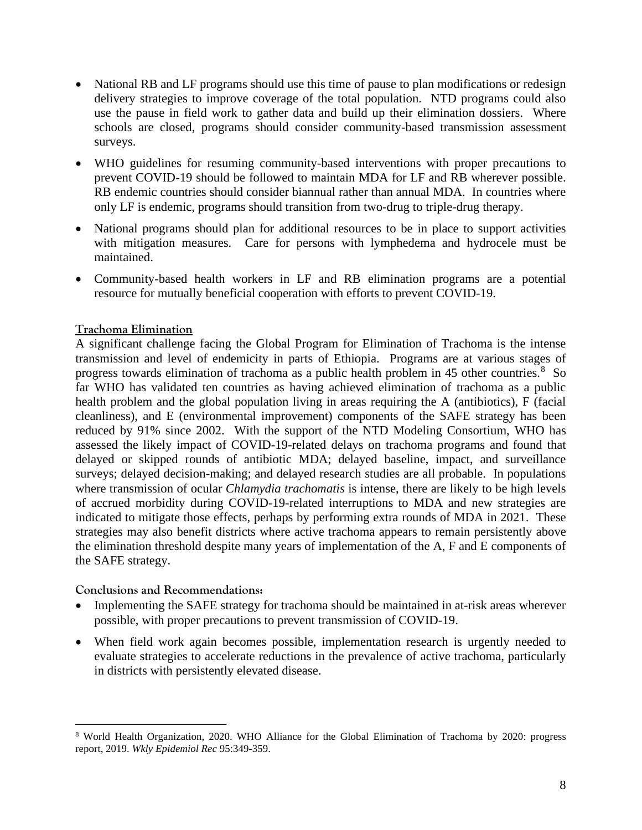- National RB and LF programs should use this time of pause to plan modifications or redesign delivery strategies to improve coverage of the total population. NTD programs could also use the pause in field work to gather data and build up their elimination dossiers. Where schools are closed, programs should consider community-based transmission assessment surveys.
- WHO guidelines for resuming community-based interventions with proper precautions to prevent COVID-19 should be followed to maintain MDA for LF and RB wherever possible. RB endemic countries should consider biannual rather than annual MDA. In countries where only LF is endemic, programs should transition from two-drug to triple-drug therapy.
- National programs should plan for additional resources to be in place to support activities with mitigation measures. Care for persons with lymphedema and hydrocele must be maintained.
- Community-based health workers in LF and RB elimination programs are a potential resource for mutually beneficial cooperation with efforts to prevent COVID-19.

# **Trachoma Elimination**

A significant challenge facing the Global Program for Elimination of Trachoma is the intense transmission and level of endemicity in parts of Ethiopia. Programs are at various stages of progress towards elimination of trachoma as a public health problem in 45 other countries.<sup>[8](#page-7-0)</sup> So far WHO has validated ten countries as having achieved elimination of trachoma as a public health problem and the global population living in areas requiring the A (antibiotics), F (facial cleanliness), and E (environmental improvement) components of the SAFE strategy has been reduced by 91% since 2002. With the support of the NTD Modeling Consortium, WHO has assessed the likely impact of COVID-19-related delays on trachoma programs and found that delayed or skipped rounds of antibiotic MDA; delayed baseline, impact, and surveillance surveys; delayed decision-making; and delayed research studies are all probable. In populations where transmission of ocular *Chlamydia trachomatis* is intense, there are likely to be high levels of accrued morbidity during COVID-19-related interruptions to MDA and new strategies are indicated to mitigate those effects, perhaps by performing extra rounds of MDA in 2021. These strategies may also benefit districts where active trachoma appears to remain persistently above the elimination threshold despite many years of implementation of the A, F and E components of the SAFE strategy.

#### **Conclusions and Recommendations:**

- Implementing the SAFE strategy for trachoma should be maintained in at-risk areas wherever possible, with proper precautions to prevent transmission of COVID-19.
- When field work again becomes possible, implementation research is urgently needed to evaluate strategies to accelerate reductions in the prevalence of active trachoma, particularly in districts with persistently elevated disease.

<span id="page-7-0"></span><sup>8</sup> World Health Organization, 2020. WHO Alliance for the Global Elimination of Trachoma by 2020: progress report, 2019. *Wkly Epidemiol Rec* 95:349-359.